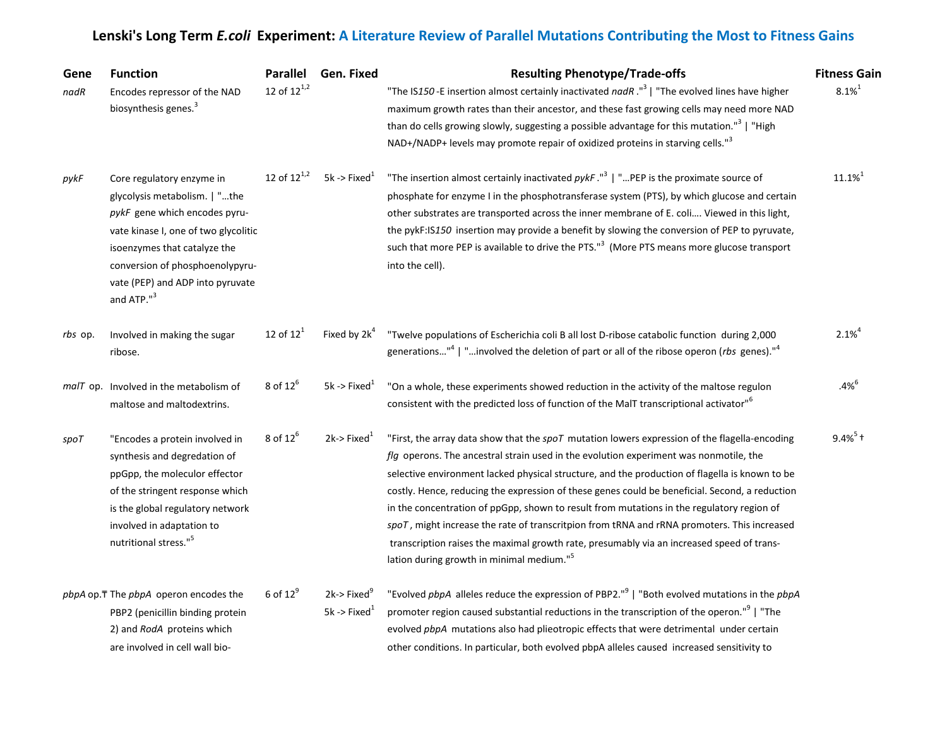| Gene<br>nadR | <b>Function</b><br>Encodes repressor of the NAD<br>biosynthesis genes. <sup>3</sup>                                                                                                                                                                                  | <b>Parallel</b><br>12 of $12^{1,2}$ | Gen. Fixed                                                       | <b>Resulting Phenotype/Trade-offs</b><br>"The IS150 -E insertion almost certainly inactivated nadR ." <sup>3</sup>   "The evolved lines have higher<br>maximum growth rates than their ancestor, and these fast growing cells may need more NAD<br>than do cells growing slowly, suggesting a possible advantage for this mutation." <sup>3</sup>   "High<br>NAD+/NADP+ levels may promote repair of oxidized proteins in starving cells." <sup>3</sup>                                                                                                                                                                                                                                                                                             | <b>Fitness Gain</b><br>$8.1\%^{1}$ |
|--------------|----------------------------------------------------------------------------------------------------------------------------------------------------------------------------------------------------------------------------------------------------------------------|-------------------------------------|------------------------------------------------------------------|-----------------------------------------------------------------------------------------------------------------------------------------------------------------------------------------------------------------------------------------------------------------------------------------------------------------------------------------------------------------------------------------------------------------------------------------------------------------------------------------------------------------------------------------------------------------------------------------------------------------------------------------------------------------------------------------------------------------------------------------------------|------------------------------------|
| pykF         | Core regulatory enzyme in<br>glycolysis metabolism.   "the<br>pykF gene which encodes pyru-<br>vate kinase I, one of two glycolitic<br>isoenzymes that catalyze the<br>conversion of phosphoenolypyru-<br>vate (PEP) and ADP into pyruvate<br>and ATP." <sup>3</sup> | 12 of $12^{1,2}$                    | 5k -> Fixed $1$                                                  | "The insertion almost certainly inactivated $pykF$ ." <sup>3</sup>   "PEP is the proximate source of<br>phosphate for enzyme I in the phosphotransferase system (PTS), by which glucose and certain<br>other substrates are transported across the inner membrane of E. coli Viewed in this light,<br>the pykF:IS150 insertion may provide a benefit by slowing the conversion of PEP to pyruvate,<br>such that more PEP is available to drive the PTS." <sup>3</sup> (More PTS means more glucose transport<br>into the cell).                                                                                                                                                                                                                     | $11.1\%$ <sup>1</sup>              |
| rbs op.      | Involved in making the sugar<br>ribose.                                                                                                                                                                                                                              | 12 of $12^1$                        | Fixed by $2k^4$                                                  | "Twelve populations of Escherichia coli B all lost D-ribose catabolic function during 2,000<br>generations" <sup>4</sup>   "involved the deletion of part or all of the ribose operon (rbs genes)." <sup>4</sup>                                                                                                                                                                                                                                                                                                                                                                                                                                                                                                                                    | $2.1\%^{4}$                        |
|              | malT op. Involved in the metabolism of<br>maltose and maltodextrins.                                                                                                                                                                                                 | 8 of $12^6$                         | 5k -> Fixed <sup>1</sup>                                         | "On a whole, these experiments showed reduction in the activity of the maltose regulon<br>consistent with the predicted loss of function of the MaIT transcriptional activator" <sup>6</sup>                                                                                                                                                                                                                                                                                                                                                                                                                                                                                                                                                        | $.4\%^{6}$                         |
| spoT         | "Encodes a protein involved in<br>synthesis and degredation of<br>ppGpp, the moleculor effector<br>of the stringent response which<br>is the global regulatory network<br>involved in adaptation to<br>nutritional stress." <sup>5</sup>                             | 8 of $12^6$                         | $2k$ ->Fixed <sup>1</sup>                                        | "First, the array data show that the spoT mutation lowers expression of the flagella-encoding<br><i>flg</i> operons. The ancestral strain used in the evolution experiment was nonmotile, the<br>selective environment lacked physical structure, and the production of flagella is known to be<br>costly. Hence, reducing the expression of these genes could be beneficial. Second, a reduction<br>in the concentration of ppGpp, shown to result from mutations in the regulatory region of<br>spoT, might increase the rate of transcritpion from tRNA and rRNA promoters. This increased<br>transcription raises the maximal growth rate, presumably via an increased speed of trans-<br>lation during growth in minimal medium." <sup>5</sup> | $9.4\%^{5}$ +                      |
|              | pbpA op. The pbpA operon encodes the<br>PBP2 (penicillin binding protein<br>2) and RodA proteins which<br>are involved in cell wall bio-                                                                                                                             | 6 of $12^9$                         | $2k$ ->Fixed <sup>9</sup><br>$5k \rightarrow$ Fixed <sup>1</sup> | "Evolved $pbpA$ alleles reduce the expression of PBP2." <sup>9</sup>   "Both evolved mutations in the $pbpA$<br>promoter region caused substantial reductions in the transcription of the operon." <sup>9</sup>   "The<br>evolved pbpA mutations also had plieotropic effects that were detrimental under certain<br>other conditions. In particular, both evolved pbpA alleles caused increased sensitivity to                                                                                                                                                                                                                                                                                                                                     |                                    |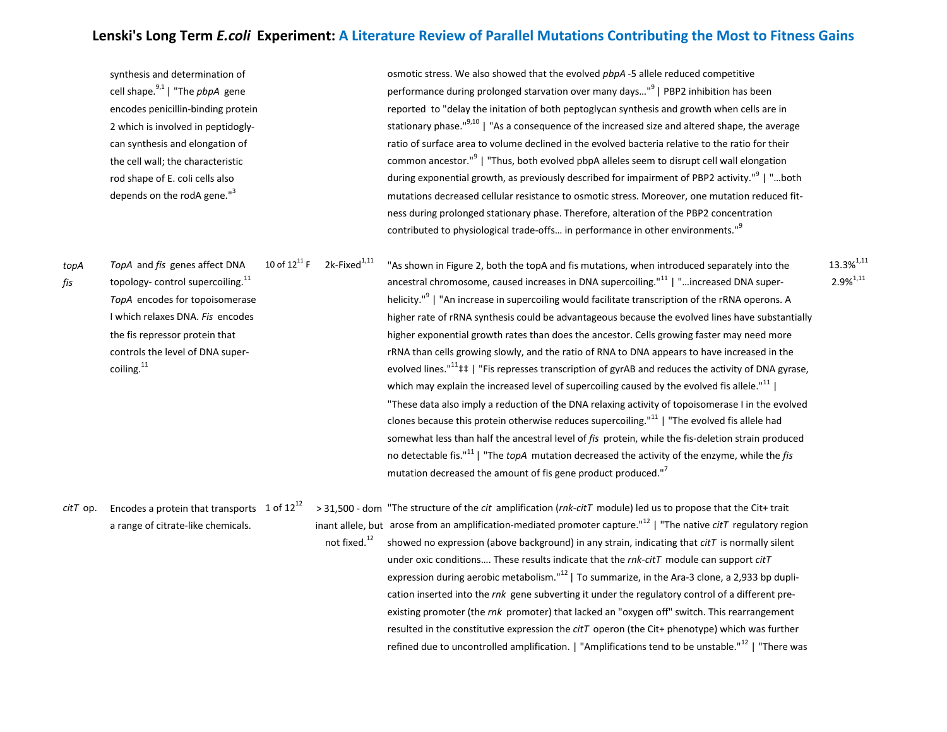synthesis and determination of **only and the evolved** *phpA* -5 allele reduced competitive osmotic stress. We also showed that the evolved *phpA* -5 allele reduced competitive cell shape.9,1 | "The *pbpA* gene performance during prolonged starvation over many days…"<sup>9</sup>| PBP2 inhibition has been encodes penicillin-binding protein reported to "delay the initation of both peptoglycan synthesis and growth when cells are in 2 which is involved in peptidogly- stationary phase."<sup>9,10</sup> | "As a consequence of the increased size and altered shape, the average can synthesis and elongation of ratio of surface area to volume declined in the evolved bacteria relative to the ratio for their the cell wall; the characteristic common ancestor." $9$  | "Thus, both evolved pbpA alleles seem to disrupt cell wall elongation rod shape of E. coli cells also **during exponential growth, as previously** described for impairment of PBP2 activity."<sup>9</sup> | "...both depends on the rodA gene."<sup>3</sup> mutations decreased cellular resistance to osmotic stress. Moreover, one mutation reduced fitness during prolonged stationary phase. Therefore, alteration of the PBP2 concentration

contributed to physiological trade-offs... in performance in other environments."<sup>9</sup>

*topA TopA* and *fis* genes affect DNA 10 of 12<sup>11</sup> F 2k-Fixed<sup>1,11</sup> "As shown in Figure 2, both the topA and fis mutations, when introduced separately into the 13.3%<sup>1,11</sup><br>fis topology- control supercoiling.<sup>11</sup> ancestr *fis* topology- control supercoiling.<sup>11</sup> and the supercoiling ancestral chromosome, caused increases in DNA supercoiling.<sup>"11</sup> | "...increased DNA super-*TopA* encodes for topoisomerase helicity."<sup>9</sup> | "An increase in supercoiling would facilitate transcription of the rRNA operons. A I which relaxes DNA. *Fis* encodes higher rate of rRNA synthesis could be advantageous because the evolved lines have substantially the fis repressor protein that higher exponential growth rates than does the ancestor. Cells growing faster may need more controls the level of DNA super- rRNA than cells growing slowly, and the ratio of RNA to DNA appears to have increased in the coiling.<sup>11</sup> coiling.<sup>11</sup> converting  $e^{i(1)}$  and reduces the activity of DNA gyrase, which may explain the increased level of supercoiling caused by the evolved fis allele."<sup>11</sup> "These data also imply a reduction of the DNA relaxing activity of topoisomerase I in the evolved clones because this protein otherwise reduces supercoiling." $11$  | "The evolved fis allele had somewhat less than half the ancestral level of *fis* protein, while the fis-deletion strain produced no detectable fis."<sup>11</sup>| "The *topA* mutation decreased the activity of the enzyme, while the *fis* mutation decreased the amount of fis gene product produced."<sup>7</sup>

*citT* op. Encodes a protein that transports 1 of  $12^{12}$  > 31,500 - dom "The structure of the *cit* amplification (*rnk-citT* module) led us to propose that the Cit+ trait a range of citrate-like chemicals. inant allele, but arose from an amplification-mediated promoter capture."<sup>12</sup> | "The native *citT* regulatory region not fixed.<sup>12</sup> showed no expression (above background) in any strain, indicating that *citT* is normally silent under oxic conditions…. These results indicate that the *rnk-citT* module can support *citT*  expression during aerobic metabolism." $^{12}$  | To summarize, in the Ara-3 clone, a 2,933 bp duplication inserted into the *rnk* gene subverting it under the regulatory control of a different preexisting promoter (the *rnk* promoter) that lacked an "oxygen off" switch. This rearrangement resulted in the constitutive expression the *citT* operon (the Cit+ phenotype) which was further refined due to uncontrolled amplification. | "Amplifications tend to be unstable."<sup>12</sup> | "There was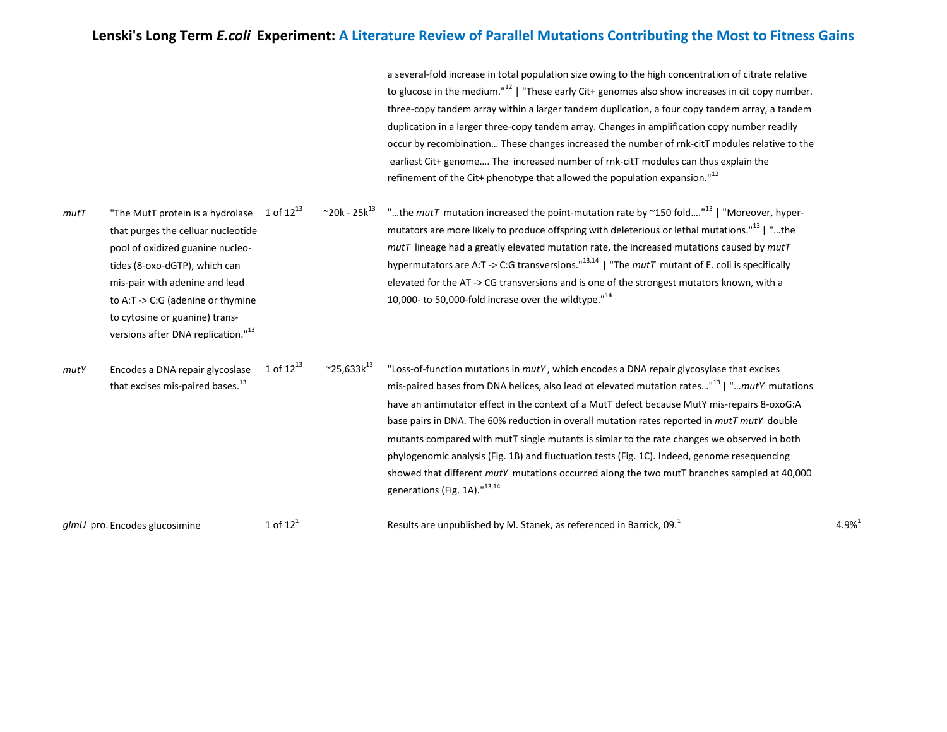a several-fold increase in total population size owing to the high concentration of citrate relative to glucose in the medium."<sup>12</sup> | "These early Cit+ genomes also show increases in cit copy number. three-copy tandem array within a larger tandem duplication, a four copy tandem array, a tandem duplication in a larger three-copy tandem array. Changes in amplification copy number readily occur by recombination… These changes increased the number of rnk-citT modules relative to the earliest Cit+ genome…. The increased number of rnk-citT modules can thus explain the refinement of the Cit+ phenotype that allowed the population expansion."<sup>12</sup>

| mutT | "The MutT protein is a hydrolase                                                | 1 of $12^{13}$ | $~20k - 25k^{13}$           | "the mutT mutation increased the point-mutation rate by ~150 fold" <sup>13</sup>   "Moreover, hyper-                                                                                                                                                                                                                                                                                                                                                                                                                                                                                                                                                                                                                                                  |
|------|---------------------------------------------------------------------------------|----------------|-----------------------------|-------------------------------------------------------------------------------------------------------------------------------------------------------------------------------------------------------------------------------------------------------------------------------------------------------------------------------------------------------------------------------------------------------------------------------------------------------------------------------------------------------------------------------------------------------------------------------------------------------------------------------------------------------------------------------------------------------------------------------------------------------|
|      | that purges the celluar nucleotide                                              |                |                             | mutators are more likely to produce offspring with deleterious or lethal mutations." <sup>13</sup>   "the                                                                                                                                                                                                                                                                                                                                                                                                                                                                                                                                                                                                                                             |
|      | pool of oxidized guanine nucleo-                                                |                |                             | $mutT$ lineage had a greatly elevated mutation rate, the increased mutations caused by $mutT$                                                                                                                                                                                                                                                                                                                                                                                                                                                                                                                                                                                                                                                         |
|      | tides (8-oxo-dGTP), which can                                                   |                |                             | hypermutators are A:T -> C:G transversions." $^{13,14}$   "The <i>mutT</i> mutant of E. coli is specifically                                                                                                                                                                                                                                                                                                                                                                                                                                                                                                                                                                                                                                          |
|      | mis-pair with adenine and lead                                                  |                |                             | elevated for the AT -> CG transversions and is one of the strongest mutators known, with a                                                                                                                                                                                                                                                                                                                                                                                                                                                                                                                                                                                                                                                            |
|      | to A:T -> C:G (adenine or thymine                                               |                |                             | 10,000- to 50,000-fold incrase over the wildtype. $14^4$                                                                                                                                                                                                                                                                                                                                                                                                                                                                                                                                                                                                                                                                                              |
|      | to cytosine or guanine) trans-                                                  |                |                             |                                                                                                                                                                                                                                                                                                                                                                                                                                                                                                                                                                                                                                                                                                                                                       |
|      | versions after DNA replication." <sup>13</sup>                                  |                |                             |                                                                                                                                                                                                                                                                                                                                                                                                                                                                                                                                                                                                                                                                                                                                                       |
| mutY | Encodes a DNA repair glycoslase<br>that excises mis-paired bases. <sup>13</sup> | 1 of $12^{13}$ | $~^{\circ}$ 25,633 $k^{13}$ | "Loss-of-function mutations in mutY, which encodes a DNA repair glycosylase that excises<br>mis-paired bases from DNA helices, also lead ot elevated mutation rates" <sup>13</sup>   " <i>mutY</i> mutations<br>have an antimutator effect in the context of a MutT defect because MutY mis-repairs 8-oxoG:A<br>base pairs in DNA. The 60% reduction in overall mutation rates reported in mutT mutY double<br>mutants compared with mutT single mutants is simlar to the rate changes we observed in both<br>phylogenomic analysis (Fig. 1B) and fluctuation tests (Fig. 1C). Indeed, genome resequencing<br>showed that different mutY mutations occurred along the two mutT branches sampled at 40,000<br>generations (Fig. 1A)." <sup>13,14</sup> |

*glmU* pro. Encodes glucosimine 1 of  $12<sup>1</sup>$ Results are unpublished by M. Stanek, as referenced in Barrick, 09.<sup>1</sup> 4.9%<sup>1</sup>